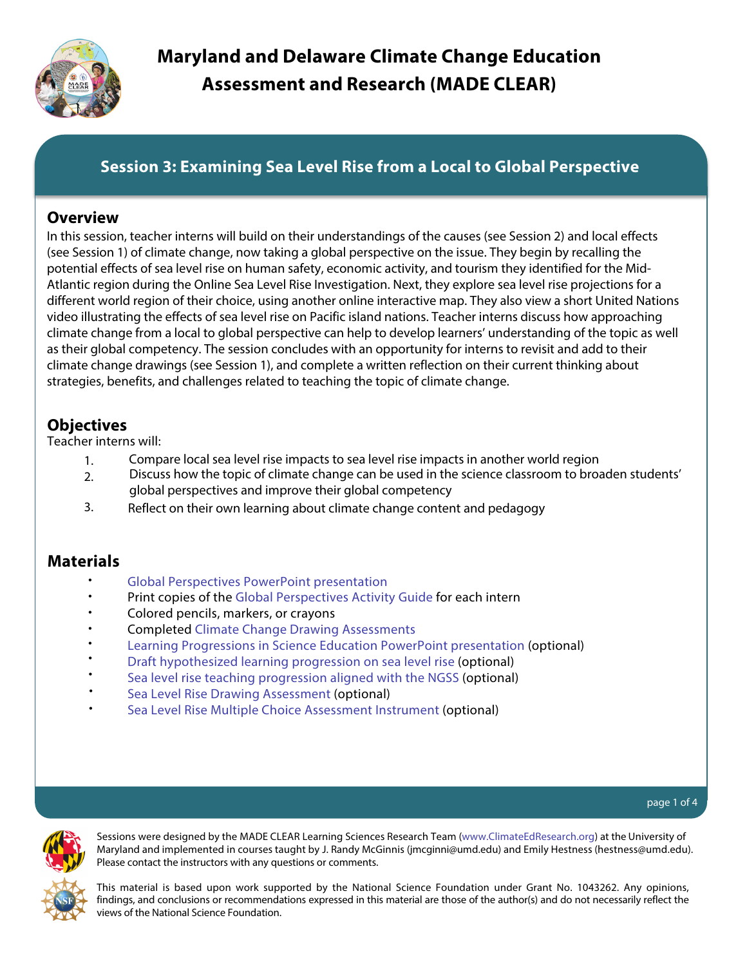

# **Session 3: Examining Sea Level Rise from a Local to Global Perspective**

### **Overview**

In this session, teacher interns will build on their understandings of the causes (see Session 2) and local effects (see Session 1) of climate change, now taking a global perspective on the issue. They begin by recalling the potential effects of sea level rise on human safety, economic activity, and tourism they identified for the Mid-Atlantic region during the Online Sea Level Rise Investigation. Next, they explore sea level rise projections for a different world region of their choice, using another online interactive map. They also view a short United Nations video illustrating the effects of sea level rise on Pacific island nations. Teacher interns discuss how approaching climate change from a local to global perspective can help to develop learners' understanding of the topic as well as their global competency. The session concludes with an opportunity for interns to revisit and add to their climate change drawings (see Session 1), and complete a written reflection on their current thinking about strategies, benefits, and challenges related to teaching the topic of climate change.

## **Objectives**

Teacher interns will:

- 1. Compare local sea level rise impacts to sea level rise impacts in another world region
- 2. Discuss how the topic of climate change can be used in the science classroom to broaden students' global perspectives and improve their global competency
- 3. Reflect on their own learning about climate change content and pedagogy

## **Materials**

- Global Perspectives [PowerPoint presentation](www.climateedresearch.org/science-methods/session-3/global-perspectives.ppt)
- Print copies of the [Global Perspectives Activity](http://www.climateedresearch.org/science-methods/session-3/global-perspectives-activity-guide.doc) Guide for each intern •
- Colored pencils, markers, or crayons •
- Completed [Climate Change Drawing Assessments](www.climateedresearch.org/science-methods/climate-change-drawing-assessment.doc) •
- [Learning Progressions in Science Education](http://www.climateedresearch.org/science-methods/learning-progressions.ppt) PowerPoint presentation (optional) •
- [Draft hypothesized](http://www.climateedresearch.org/publications/2012/SLR-LP.pdf) learning progression on sea level rise (optional) •
- Sea level rise [teaching progression aligned](http://www.climateedresearch.org/publications/2013/SLRTeachingProgression.pdf) with the NGSS (optional) •
- [Sea Level Rise](http://www.climateedresearch.org/science-methods/sea-level-rise-drawing-assessment.doc) Drawing Assessment (optional) •
- Sea Level [Rise Multiple Choice Assessment Instrument](http://climateedresearch.org/science-methods/session-3/sea-level-rise-multiple-choice.pdf) (optional) •



Sessions were designed by the MADE CLEAR Learning Sciences Research Team ([www.ClimateEdResearch.org\)](www.climateedresearch.org) at the University of Maryland and implemented in courses taught by J. Randy McGinnis (jmcginni@umd.edu) and Emily Hestness (hestness@umd.edu). Please contact the instructors with any questions or comments.

This material is based upon work supported by the National Science Foundation under Grant No. 1043262. Any opinions, findings, and conclusions or recommendations expressed in this material are those of the author(s) and do not necessarily reflect the views of the National Science Foundation.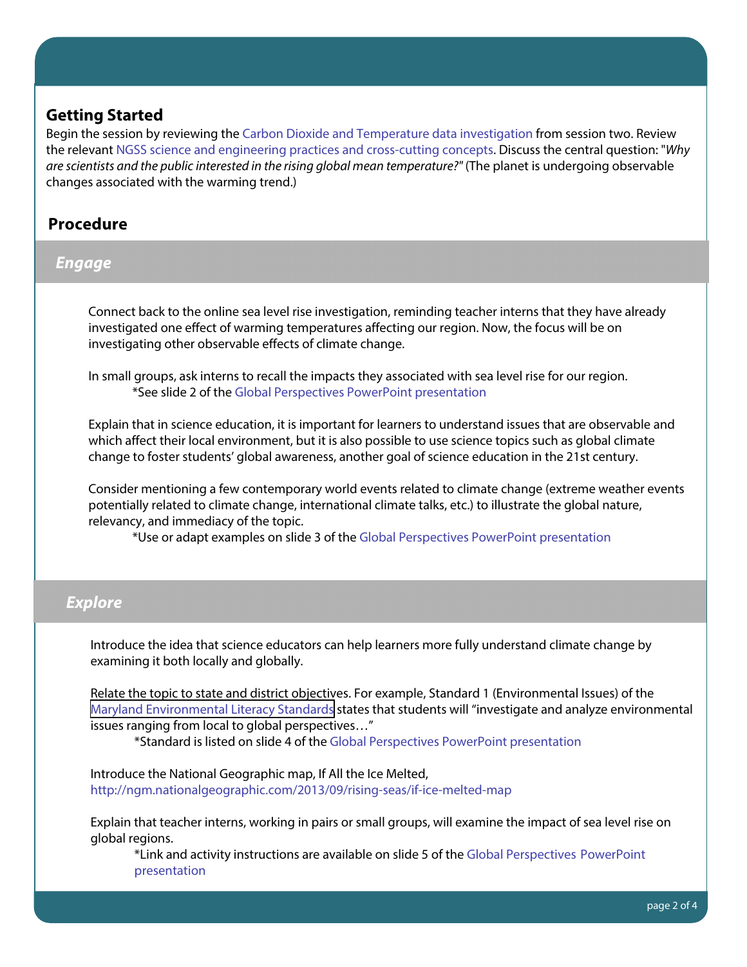## **Getting Started**

Begin the session by reviewing the [Carbon Dioxide and Temperature data investigation](www.climateedresearch.org/science-methods/session-2/CO2-temp-investigation.ppt) from session two. Review the relevant [NGSS science and engineering practices and cross-cutting concepts.](www.climateedresearch.org/science-methods/session-2/NGSS-dimensions.ppt) Discuss the central question: "Why are scientists and the public interested in the rising global mean temperature?" (The planet is undergoing observable changes associated with the warming trend.)

# **Procedure**

## **Engage**

Connect back to the online sea level rise investigation, reminding teacher interns that they have already investigated one effect of warming temperatures affecting our region. Now, the focus will be on investigating other observable effects of climate change.

In small groups, ask interns to recall the impacts they associated with sea level rise for our region. \*See slide 2 of the [Global Perspectives PowerPoint presentation](www.climateedresearch.org/science-methods/session-3/global-perspectives.ppt)

Explain that in science education, it is important for learners to understand issues that are observable and which affect their local environment, but it is also possible to use science topics such as global climate change to foster students' global awareness, another goal of science education in the 21st century.

Consider mentioning a few contemporary world events related to climate change (extreme weather events potentially related to climate change, international climate talks, etc.) to illustrate the global nature, relevancy, and immediacy of the topic.

\*Use or adapt examples on slide 3 of the [Global Perspectives PowerPoint presentation](www.climateedresearch.org/science-methods/session-3/global-perspectives.ppt)

### **Explore**

Introduce the idea that science educators can help learners more fully understand climate change by examining it both locally and globally.

Relate the topic to state and district objectives. For example, Standard 1 (Environmental Issues) of the [Maryland Environmental Literacy Standards](http://www.maeoe.org/greenschools/greencenters/EL%20summary%20for%20website%20(2).pdf) states that students will "investigate and analyze environmental issues ranging from local to global perspectives…"

\*Standard is listed on slide 4 of th[e Global Perspectives PowerPoint presentation](www.climateedresearch.org/science-methods/session-3/global-perspectives.ppt)

Introduce the National Geographic map, If All the Ice Melted, <http://ngm.nationalgeographic.com/2013/09/rising-seas/if-ice-melted-map>

Explain that teacher interns, working in pairs or small groups, will examine the impact of sea level rise on global regions.

\*Link and activity instructions are available on slide 5 of the [Global Perspectives PowerPoint](www.climateedresearch.org/science-methods/session-3/global-perspectives.ppt) [presentation](www.climateedresearch.org/science-methods/session-3/global-perspectives.ppt)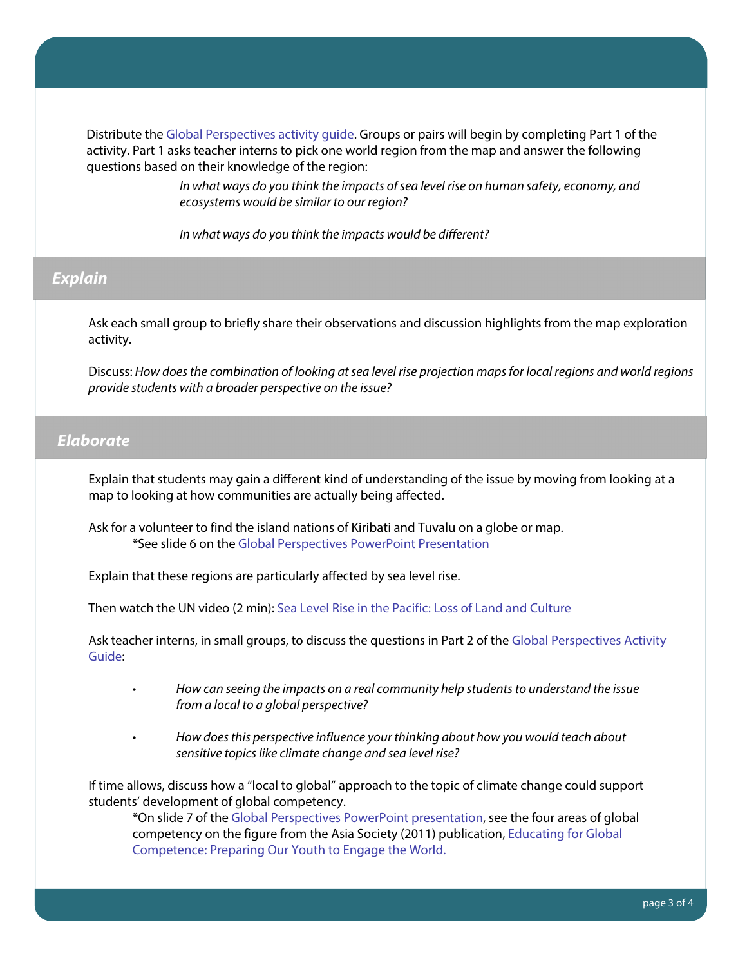Distribute the [Global Perspectives activity guide.](http://www.climateedresearch.org/science-methods/session-3/global-perspectives-activity-guide.doc) Groups or pairs will begin by completing Part 1 of the activity. Part 1 asks teacher interns to pick one world region from the map and answer the following questions based on their knowledge of the region:

> In what ways do you think the impacts of sea level rise on human safety, economy, and ecosystems would be similar to our region?

In what ways do you think the impacts would be different?

#### **Explain**

Ask each small group to briefly share their observations and discussion highlights from the map exploration activity.

Discuss: How does the combination of looking at sea level rise projection maps for local regions and world regions provide students with a broader perspective on the issue?

#### **Elaborate**

Explain that students may gain a different kind of understanding of the issue by moving from looking at a map to looking at how communities are actually being affected.

Ask for a volunteer to find the island nations of Kiribati and Tuvalu on a globe or map. \*See slide 6 on th[e Global Perspectives PowerPoint Presentation](www.climateedresearch.org/science-methods/session-3/global-perspectives.ppt)

Explain that these regions are particularly affected by sea level rise.

Then watch the UN video (2 min): [Sea Level Rise in the Pacific: Loss of Land and Culture](http://www.unmultimedia.org/tv/webcast/2012/03/sea-level-rise-in-the-pacific-loss-of-land-and-culture.html)

Ask teacher interns, in small groups, to discuss the questions in Part 2 of the [Global Perspectives Activity](http://www.climateedresearch.org/science-methods/session-3/global-perspectives-activity-guide.doc)  [Guide:](http://www.climateedresearch.org/science-methods/session-3/global-perspectives-activity-guide.doc)

- How can seeing the impacts on a real community help students to understand the issue from a local to a global perspective?
- How does this perspective influence your thinking about how you would teach about sensitive topics like climate change and sea level rise?

If time allows, discuss how a "local to global" approach to the topic of climate change could support students' development of global competency.

\*On slide 7 of the [Global Perspectives PowerPoint presentation,](www.climateedresearch.org/science-methods/session-3/global-perspectives.ppt) see the four areas of global competency on the figure from the Asia Society (2011) publication, [Educating for Global](http://asiasociety.org/files/book-globalcompetence.pdf)  [Competence: Preparing Our Youth to Engage the World.](http://asiasociety.org/files/book-globalcompetence.pdf)